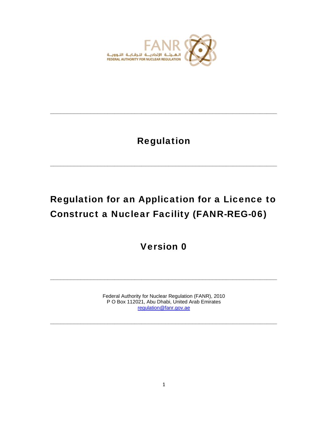

# Regulation

**\_\_\_\_\_\_\_\_\_\_\_\_\_\_\_\_\_\_\_\_\_\_\_\_\_\_\_\_\_\_\_\_\_\_\_\_\_\_\_\_\_\_\_\_\_\_\_\_\_\_\_\_\_\_\_\_\_\_\_\_\_\_\_\_\_\_\_** 

**\_\_\_\_\_\_\_\_\_\_\_\_\_\_\_\_\_\_\_\_\_\_\_\_\_\_\_\_\_\_\_\_\_\_\_\_\_\_\_\_\_\_\_\_\_\_\_\_\_\_\_\_\_\_\_\_\_\_\_\_\_\_\_\_\_\_\_** 

# Regulation for an Application for a Licence to Construct a Nuclear Facility (FANR-REG-06)

Version 0

Federal Authority for Nuclear Regulation (FANR), 2010 P O Box 112021, Abu Dhabi, United Arab Emirates regulation@fanr.gov.ae

**\_\_\_\_\_\_\_\_\_\_\_\_\_\_\_\_\_\_\_\_\_\_\_\_\_\_\_\_\_\_\_\_\_\_\_\_\_\_\_\_\_\_\_\_\_\_\_\_\_\_\_\_\_\_\_\_\_\_\_\_\_\_\_\_\_\_\_** 

**\_\_\_\_\_\_\_\_\_\_\_\_\_\_\_\_\_\_\_\_\_\_\_\_\_\_\_\_\_\_\_\_\_\_\_\_\_\_\_\_\_\_\_\_\_\_\_\_\_\_\_\_\_\_\_\_\_\_\_\_\_\_\_\_\_\_\_**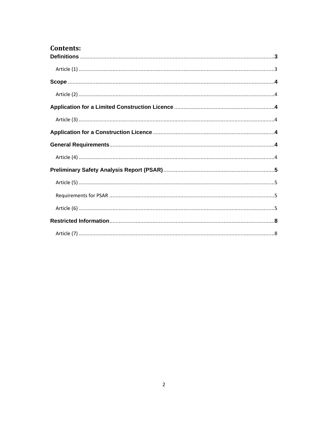| <b>Contents:</b> |  |
|------------------|--|
|                  |  |
|                  |  |
|                  |  |
|                  |  |
|                  |  |
|                  |  |
|                  |  |
|                  |  |
|                  |  |
|                  |  |
|                  |  |
|                  |  |
|                  |  |
|                  |  |
|                  |  |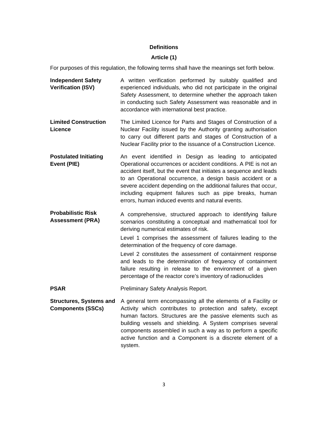#### **Definitions**

#### **Article (1)**

For purposes of this regulation, the following terms shall have the meanings set forth below.

- **Independent Safety Verification (ISV)**  A written verification performed by suitably qualified and experienced individuals, who did not participate in the original Safety Assessment, to determine whether the approach taken in conducting such Safety Assessment was reasonable and in accordance with international best practice.
- **Limited Construction Licence**  The Limited Licence for Parts and Stages of Construction of a Nuclear Facility issued by the Authority granting authorisation to carry out different parts and stages of Construction of a Nuclear Facility prior to the issuance of a Construction Licence.
- **Postulated Initiating Event (PIE)**  An event identified in Design as leading to anticipated Operational occurrences or accident conditions. A PIE is not an accident itself, but the event that initiates a sequence and leads to an Operational occurrence, a design basis accident or a severe accident depending on the additional failures that occur, including equipment failures such as pipe breaks, human errors, human induced events and natural events.

**Probabilistic Risk Assessment (PRA)**  A comprehensive, structured approach to identifying failure scenarios constituting a conceptual and mathematical tool for deriving numerical estimates of risk.

> Level 1 comprises the assessment of failures leading to the determination of the frequency of core damage.

> Level 2 constitutes the assessment of containment response and leads to the determination of frequency of containment failure resulting in release to the environment of a given percentage of the reactor core's inventory of radionuclides

- **PSAR** Preliminary Safety Analysis Report.
- **Structures, Systems and Components (SSCs)**  A general term encompassing all the elements of a Facility or Activity which contributes to protection and safety, except human factors. Structures are the passive elements such as building vessels and shielding. A System comprises several components assembled in such a way as to perform a specific active function and a Component is a discrete element of a system.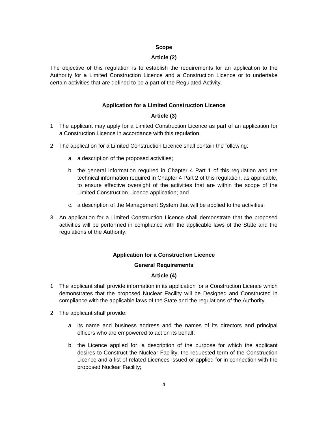### **Scope**

# **Article (2)**

The objective of this regulation is to establish the requirements for an application to the Authority for a Limited Construction Licence and a Construction Licence or to undertake certain activities that are defined to be a part of the Regulated Activity.

# **Application for a Limited Construction Licence**

# **Article (3)**

- 1. The applicant may apply for a Limited Construction Licence as part of an application for a Construction Licence in accordance with this regulation.
- 2. The application for a Limited Construction Licence shall contain the following:
	- a. a description of the proposed activities;
	- b. the general information required in Chapter 4 Part 1 of this regulation and the technical information required in Chapter 4 Part 2 of this regulation, as applicable, to ensure effective oversight of the activities that are within the scope of the Limited Construction Licence application; and
	- c. a description of the Management System that will be applied to the activities.
- 3. An application for a Limited Construction Licence shall demonstrate that the proposed activities will be performed in compliance with the applicable laws of the State and the regulations of the Authority.

# **Application for a Construction Licence**

# **General Requirements**

# **Article (4)**

- 1. The applicant shall provide information in its application for a Construction Licence which demonstrates that the proposed Nuclear Facility will be Designed and Constructed in compliance with the applicable laws of the State and the regulations of the Authority.
- 2. The applicant shall provide:
	- a. its name and business address and the names of its directors and principal officers who are empowered to act on its behalf;
	- b. the Licence applied for, a description of the purpose for which the applicant desires to Construct the Nuclear Facility, the requested term of the Construction Licence and a list of related Licences issued or applied for in connection with the proposed Nuclear Facility;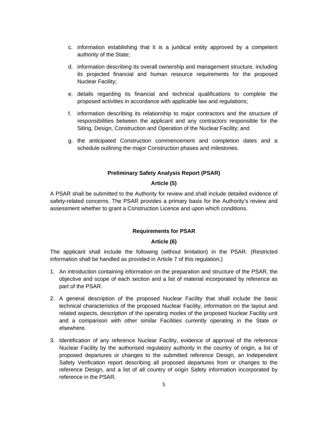- c. information establishing that it is a juridical entity approved by a competent authority of the State;
- d. information describing its overall ownership and management structure, including its projected financial and human resource requirements for the proposed Nuclear Facility;
- e. details regarding its financial and technical qualifications to complete the proposed activities in accordance with applicable law and regulations;
- f. information describing its relationship to major contractors and the structure of responsibilities between the applicant and any contractors responsible for the Siting, Design, Construction and Operation of the Nuclear Facility; and
- g. the anticipated Construction commencement and completion dates and a schedule outlining the major Construction phases and milestones.

#### **Preliminary Safety Analysis Report (PSAR)**

#### **Article (5)**

A PSAR shall be submitted to the Authority for review and shall include detailed evidence of safety-related concerns. The PSAR provides a primary basis for the Authority's review and assessment whether to grant a Construction Licence and upon which conditions.

#### **Requirements for PSAR**

#### **Article (6)**

The applicant shall include the following (without limitation) in the PSAR. (Restricted information shall be handled as provided in Article 7 of this regulation.)

- 1. An introduction containing information on the preparation and structure of the PSAR, the objective and scope of each section and a list of material incorporated by reference as part of the PSAR.
- 2. A general description of the proposed Nuclear Facility that shall include the basic technical characteristics of the proposed Nuclear Facility, information on the layout and related aspects, description of the operating modes of the proposed Nuclear Facility unit and a comparison with other similar Facilities currently operating in the State or elsewhere.
- 3. Identification of any reference Nuclear Facility, evidence of approval of the reference Nuclear Facility by the authorised regulatory authority in the country of origin, a list of proposed departures or changes to the submitted reference Design, an Independent Safety Verification report describing all proposed departures from or changes to the reference Design, and a list of all country of origin Safety information incorporated by reference in the PSAR.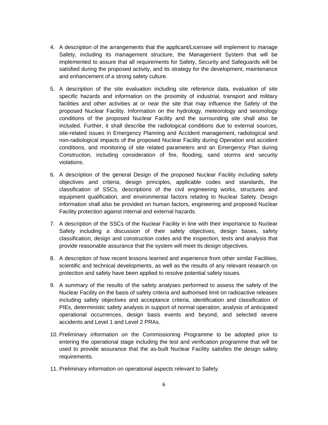- 4. A description of the arrangements that the applicant/Licensee will implement to manage Safety, including its management structure, the Management System that will be implemented to assure that all requirements for Safety, Security and Safeguards will be satisfied during the proposed activity, and its strategy for the development, maintenance and enhancement of a strong safety culture.
- 5. A description of the site evaluation including site reference data, evaluation of site specific hazards and information on the proximity of industrial, transport and military facilities and other activities at or near the site that may influence the Safety of the proposed Nuclear Facility. Information on the hydrology, meteorology and seismology conditions of the proposed Nuclear Facility and the surrounding site shall also be included. Further, it shall describe the radiological conditions due to external sources, site-related issues in Emergency Planning and Accident management, radiological and non-radiological impacts of the proposed Nuclear Facility during Operation and accident conditions, and monitoring of site related parameters and an Emergency Plan during Construction, including consideration of fire, flooding, sand storms and security violations.
- 6. A description of the general Design of the proposed Nuclear Facility including safety objectives and criteria, design principles, applicable codes and standards, the classification of SSCs, descriptions of the civil engineering works, structures and equipment qualification, and environmental factors relating to Nuclear Safety. Design information shall also be provided on human factors, engineering and proposed Nuclear Facility protection against internal and external hazards.
- 7. A description of the SSCs of the Nuclear Facility in line with their importance to Nuclear Safety including a discussion of their safety objectives, design bases, safety classification, design and construction codes and the inspection, tests and analysis that provide reasonable assurance that the system will meet its design objectives.
- 8. A description of how recent lessons learned and experience from other similar Facilities, scientific and technical developments, as well as the results of any relevant research on protection and safety have been applied to resolve potential safety issues.
- 9. A summary of the results of the safety analyses performed to assess the safety of the Nuclear Facility on the basis of safety criteria and authorised limit on radioactive releases including safety objectives and acceptance criteria, identification and classification of PIEs, deterministic safety analysis in support of normal operation, analysis of anticipated operational occurrences, design basis events and beyond, and selected severe accidents and Level 1 and Level 2 PRAs.
- 10. Preliminary information on the Commissioning Programme to be adopted prior to entering the operational stage including the test and verification programme that will be used to provide assurance that the as-built Nuclear Facility satisfies the design safety requirements.
- 11. Preliminary information on operational aspects relevant to Safety.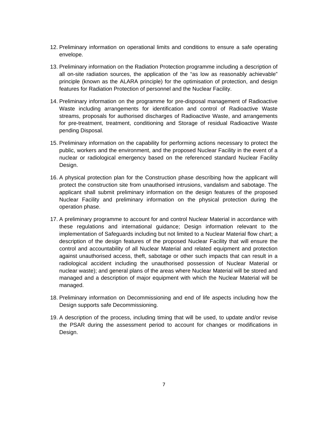- 12. Preliminary information on operational limits and conditions to ensure a safe operating envelope.
- 13. Preliminary information on the Radiation Protection programme including a description of all on-site radiation sources, the application of the "as low as reasonably achievable" principle (known as the ALARA principle) for the optimisation of protection, and design features for Radiation Protection of personnel and the Nuclear Facility.
- 14. Preliminary information on the programme for pre-disposal management of Radioactive Waste including arrangements for identification and control of Radioactive Waste streams, proposals for authorised discharges of Radioactive Waste, and arrangements for pre-treatment, treatment, conditioning and Storage of residual Radioactive Waste pending Disposal.
- 15. Preliminary information on the capability for performing actions necessary to protect the public, workers and the environment, and the proposed Nuclear Facility in the event of a nuclear or radiological emergency based on the referenced standard Nuclear Facility Design.
- 16. A physical protection plan for the Construction phase describing how the applicant will protect the construction site from unauthorised intrusions, vandalism and sabotage. The applicant shall submit preliminary information on the design features of the proposed Nuclear Facility and preliminary information on the physical protection during the operation phase.
- 17. A preliminary programme to account for and control Nuclear Material in accordance with these regulations and international guidance; Design information relevant to the implementation of Safeguards including but not limited to a Nuclear Material flow chart; a description of the design features of the proposed Nuclear Facility that will ensure the control and accountability of all Nuclear Material and related equipment and protection against unauthorised access, theft, sabotage or other such impacts that can result in a radiological accident including the unauthorised possession of Nuclear Material or nuclear waste); and general plans of the areas where Nuclear Material will be stored and managed and a description of major equipment with which the Nuclear Material will be managed.
- 18. Preliminary information on Decommissioning and end of life aspects including how the Design supports safe Decommissioning.
- 19. A description of the process, including timing that will be used, to update and/or revise the PSAR during the assessment period to account for changes or modifications in Design.